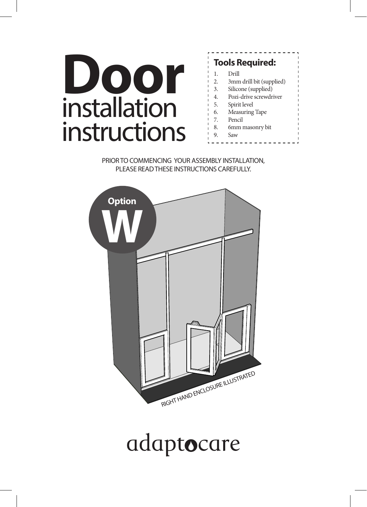# installation instructions **Tools Required:**<br>
1. Drill<br>
2. 3. Silicone (supplied)<br>
3. Silicone (supplied)<br>
4. Pozi-drive screwdrived Andreapplied)<br>
4. Registrate level

#### 1. Drill 2. 3mm drill bit (supplied) 3. Silicone (supplied) 4. Pozi-drive screwdriver 5. Spirit level 6. Measuring Tape 7. Pencil 8. 6mm masonry bit 9. Saw

PRIOR TO COMMENCING YOUR ASSEMBLY INSTALLATION, PLEASE READ THESE INSTRUCTIONS CAREFULLY.



## adaptocare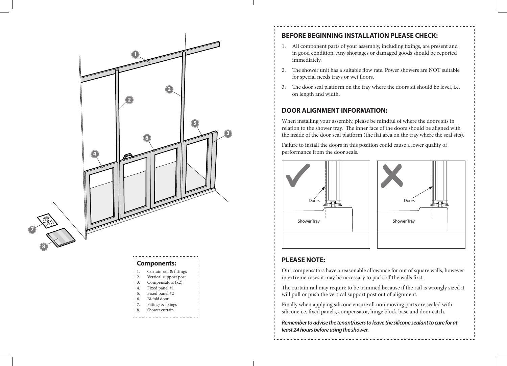

Vertical support post Compensators (x2) Fixed panel #1 5. Fixed panel #2 6. Bi-fold door 7. Fittings & fixings 8. Shower curtain

#### **BEFORE BEGINNING INSTALLATION PLEASE CHECK:**

- 1. All component parts of your assembly, including fixings, are present and in good condition. Any shortages or damaged goods should be reported immediately.
- 2. The shower unit has a suitable flow rate. Power showers are NOT suitable for special needs trays or wet floors.
- 3. The door seal platform on the tray where the doors sit should be level, i.e. on length and width.

#### **DOOR ALIGNMENT INFORMATION:**

When installing your assembly, please be mindful of where the doors sits in relation to the shower tray. The inner face of the doors should be aligned with the inside of the door seal platform (the flat area on the tray where the seal sits).

Failure to install the doors in this position could cause a lower quality of performance from the door seals.





### **PLEASE NOTE:**

Our compensators have a reasonable allowance for out of square walls, however in extreme cases it may be necessary to pack off the walls first.

The curtain rail may require to be trimmed because if the rail is wrongly sized it will pull or push the vertical support post out of alignment.

Finally when applying silicone ensure all non moving parts are sealed with silicone i.e. fixed panels, compensator, hinge block base and door catch.

*Remember to advise the tenant/users to leave the silicone sealant to cure for at least 24 hours before using the shower.*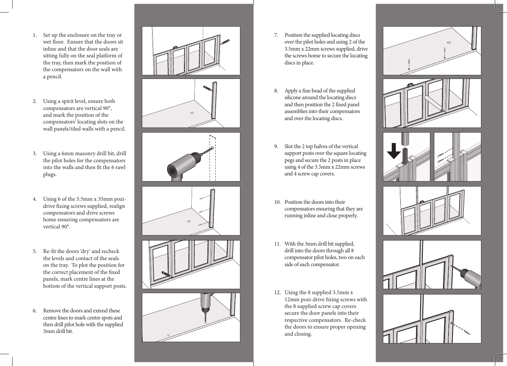- 1. Set up the enclosure on the tray or wet floor. Ensure that the doors sit inline and that the door seals are sitting fully on the seal platform of the tray, then mark the position of the compensators on the wall with a pencil.
- 2. Using a spirit level, ensure both compensators are vertical 90°, and mark the position of the compensators' locating slots on the wall panels/tiled walls with a pencil.
- 3. Using a 6mm masonry drill bit, drill the pilot holes for the compensators into the walls and then fit the 6 rawl plugs.
- 4. Using 6 of the 3.5mm x 35mm pozidrive fixing screws supplied, realign compensators and drive screws home ensuring compensators are vertical 90°.
- 5. Re-fit the doors 'dry' and recheck the levels and contact of the seals on the tray. To plot the position for the correct placement of the fixed panels, mark centre lines at the bottom of the vertical support posts.
- 6. Remove the doors and extend these centre lines to mark centre spots and then drill pilot hole with the supplied 3mm drill bit.



- 7. Position the supplied locating discs over the pilot holes and using 2 of the 3.5mm x 22mm screws supplied, drive the screws home to secure the locating discs in place.
- 8. Apply a fine bead of the supplied silicone around the locating discs and then position the 2 fixed panel assemblies into their compensators and over the locating discs.
- 9. Slot the 2 top halves of the vertical support posts over the square locating pegs and secure the 2 posts in place using 4 of the 3.5mm x 22mm screws and 4 screw cap covers.
- 10. Position the doors into their compensators ensuring that they are running inline and close properly.
- 11. With the 3mm drill bit supplied, drill into the doors through all 8 compensator pilot holes, two on each side of each compensator.
- 12. Using the 8 supplied 3.5mm x 12mm pozi-drive fixing screws with the 8 supplied screw cap covers secure the door panels into their respective compensators. Re-check the doors to ensure proper opening and closing.

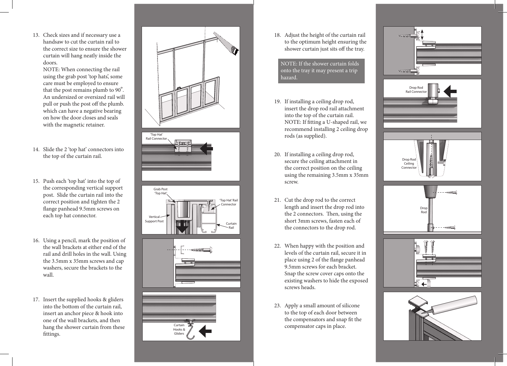13. Check sizes and if necessary use a handsaw to cut the curtain rail to the correct size to ensure the shower curtain will hang neatly inside the doors.

NOTE: When connecting the rail using the grab post 'top hats', some care must be employed to ensure that the post remains plumb to 90 º. An undersized or oversized rail will pull or push the post off the plumb. which can have a negative bearing on how the door closes and seals with the magnetic retainer.

- 14. Slide the 2 'top hat' connectors into the top of the curtain rail.
- 15. Push each 'top hat' into the top of the corresponding vertical support post. Slide the curtain rail into the correct position and tighten the 2 flange panhead 9.5mm screws on each top hat connector.
- 16. Using a pencil, mark the position of the wall brackets at either end of the rail and drill holes in the wall. Using the 3.5mm x 35mm screws and cap washers, secure the brackets to the wall.
- 17. Insert the supplied hooks & gliders into the bottom of the curtain rail, insert an anchor piece & hook into one of the wall brackets, and then hang the shower curtain from these fittings.











18. Adjust the height of the curtain rail to the optimum height ensuring the shower curtain just sits off the tray.

 onto the tray it may present a trip hazard.NOTE: If the shower curtain folds

l

I

- 19. If installing a ceiling drop rod, insert the drop rod rail attachment into the top of the curtain rail. NOTE: If fitting a U-shaped rail, we recommend installing 2 ceiling drop rods (as supplied).
- 20. If installing a ceiling drop rod, secure the ceiling attachment in the correct position on the ceiling using the remaining 3.5mm x 35mm screw.
- 21. Cut the drop rod to the correct length and insert the drop rod into the 2 connectors. Then, using the short 3mm screws, fasten each of the connectors to the drop rod.
- 22. When happy with the position and levels of the curtain rail, secure it in place using 2 of the flange panhead 9.5mm screws for each bracket. Snap the screw cover caps onto the existing washers to hide the exposed screws heads.
- 23. Apply a small amount of silicone to the top of each door between the compensators and snap fit the compensator caps in place.